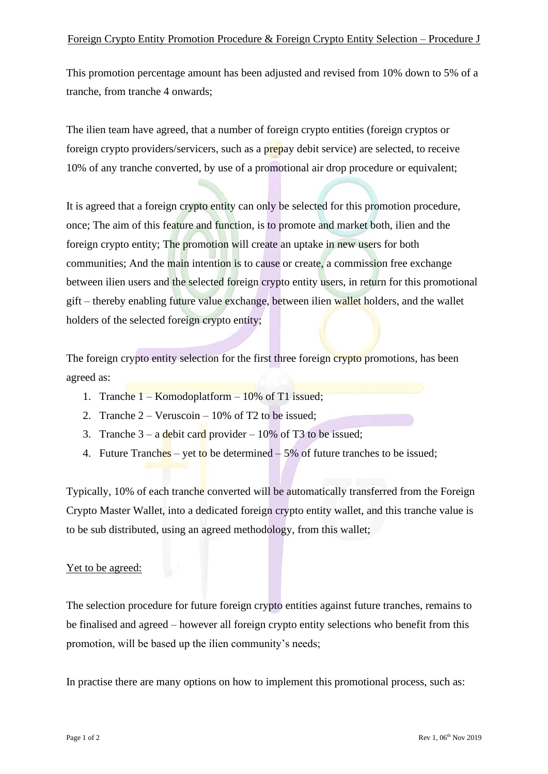This promotion percentage amount has been adjusted and revised from 10% down to 5% of a tranche, from tranche 4 onwards;

The ilien team have agreed, that a number of foreign crypto entities (foreign cryptos or foreign crypto providers/servicers, such as a prepay debit service) are selected, to receive 10% of any tranche converted, by use of a promotional air drop procedure or equivalent;

It is agreed that a foreign crypto entity can only be selected for this promotion procedure, once; The aim of this feature and function, is to promote and market both, ilien and the foreign crypto entity; The promotion will create an uptake in new users for both communities; And the main intention is to cause or create, a commission free exchange between ilien users and the selected foreign crypto entity users, in return for this promotional gift – thereby enabling future value exchange, between ilien wallet holders, and the wallet holders of the selected foreign crypto entity;

The foreign crypto entity selection for the first three foreign crypto promotions, has been agreed as:

- 1. Tranche  $1 -$ Komodoplatform  $-10\%$  of T1 issued;
- 2. Tranche 2 Veruscoin 10% of T2 to be issued;
- 3. Tranche  $3 a$  debit card provider  $-10\%$  of T3 to be issued;
- 4. Future Tranches yet to be determined  $-5\%$  of future tranches to be issued;

Typically, 10% of each tranche converted will be automatically transferred from the Foreign Crypto Master Wallet, into a dedicated foreign crypto entity wallet, and this tranche value is to be sub distributed, using an agreed methodology, from this wallet;

## Yet to be agreed:

The selection procedure for future foreign crypto entities against future tranches, remains to be finalised and agreed – however all foreign crypto entity selections who benefit from this promotion, will be based up the ilien community's needs;

In practise there are many options on how to implement this promotional process, such as: